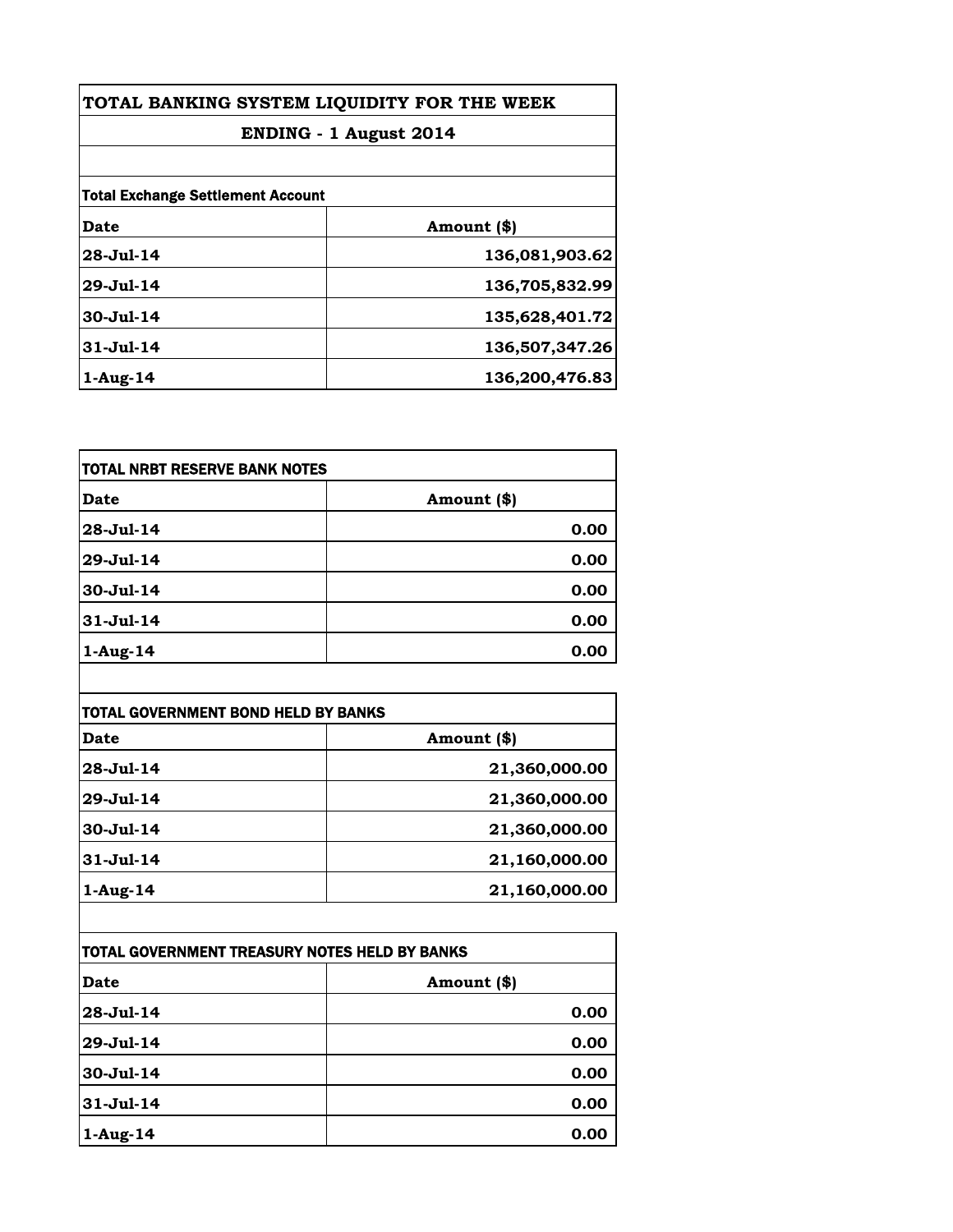| TOTAL BANKING SYSTEM LIQUIDITY FOR THE WEEK<br>ENDING - 1 August 2014 |                |
|-----------------------------------------------------------------------|----------------|
|                                                                       |                |
| <b>Total Exchange Settlement Account</b>                              |                |
| Date                                                                  | Amount (\$)    |
| 28-Jul-14                                                             | 136,081,903.62 |
| $29 -$ Jul $-14$                                                      | 136,705,832.99 |
| $30 -$ Jul $-14$                                                      | 135,628,401.72 |
| $31 - Jul - 14$                                                       | 136,507,347.26 |
| 1-Aug-14                                                              | 136,200,476.83 |

| TOTAL NRBT RESERVE BANK NOTES |             |
|-------------------------------|-------------|
| <b>Date</b>                   | Amount (\$) |
| 28-Jul-14                     | 0.00        |
| 29-Jul-14                     | 0.00        |
| 30-Jul-14                     | 0.00        |
| 31-Jul-14                     | 0.00        |
| $1-Aug-14$                    | 0.00        |

| <b>TOTAL GOVERNMENT BOND HELD BY BANKS</b> |               |
|--------------------------------------------|---------------|
| Date                                       | Amount (\$)   |
| 28-Jul-14                                  | 21,360,000.00 |
| $29 - Jul - 14$                            | 21,360,000.00 |
| $30 -$ Jul $-14$                           | 21,360,000.00 |
| $31 - Jul - 14$                            | 21,160,000.00 |
| 1-Aug-14                                   | 21,160,000.00 |

| TOTAL GOVERNMENT TREASURY NOTES HELD BY BANKS |             |
|-----------------------------------------------|-------------|
| Date                                          | Amount (\$) |
| 28-Jul-14                                     | 0.00        |
| 29-Jul-14                                     | 0.00        |
| 30-Jul-14                                     | 0.00        |
| $31 - Jul - 14$                               | 0.00        |
| $1-Aug-14$                                    | 0.00        |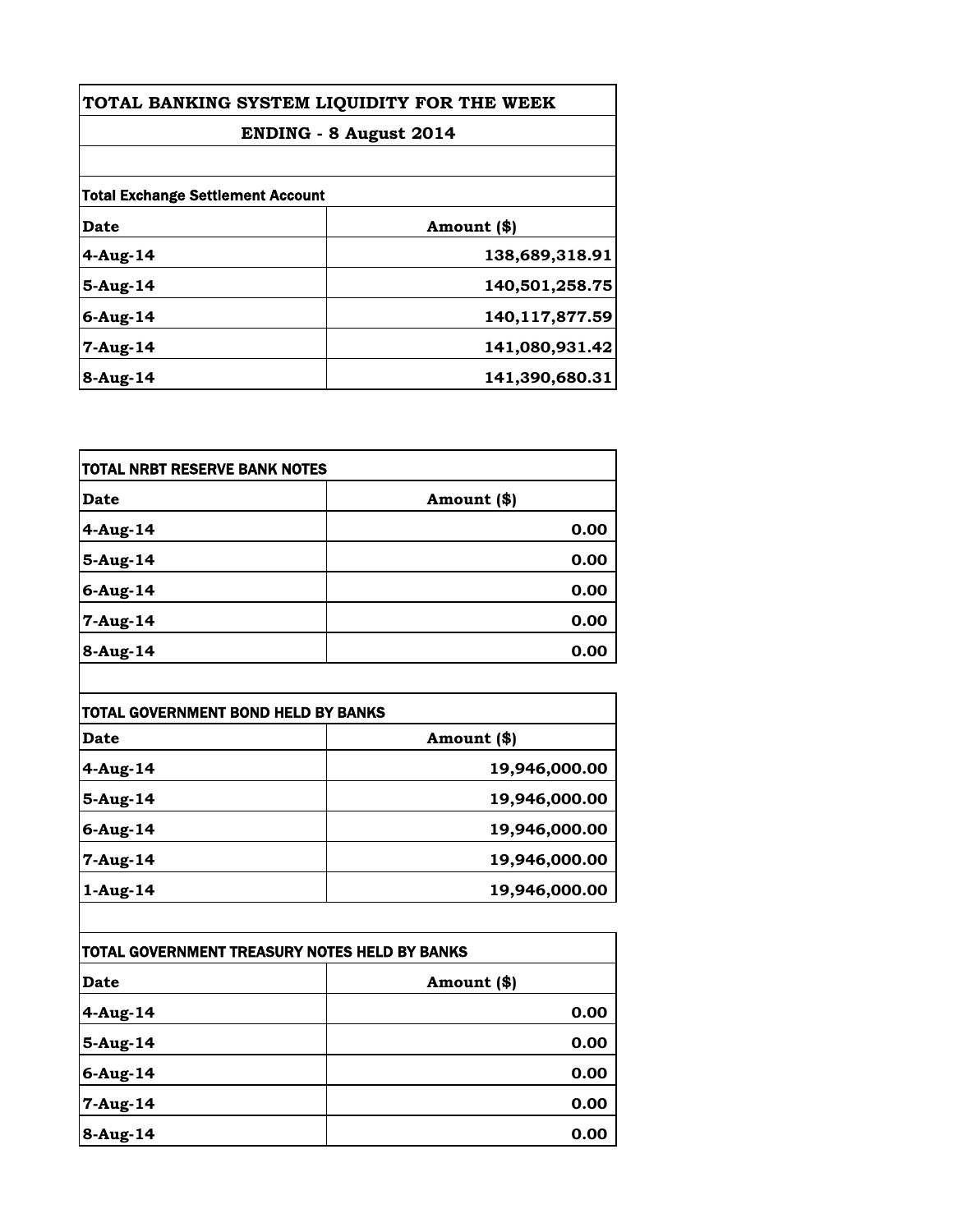| TOTAL BANKING SYSTEM LIQUIDITY FOR THE WEEK<br>ENDING - 8 August 2014 |                |                                          |             |
|-----------------------------------------------------------------------|----------------|------------------------------------------|-------------|
|                                                                       |                | <b>Total Exchange Settlement Account</b> |             |
|                                                                       |                | Date                                     | Amount (\$) |
| $4$ -Aug-14                                                           | 138,689,318.91 |                                          |             |
| 5-Aug-14                                                              | 140,501,258.75 |                                          |             |
| $6$ -Aug-14                                                           | 140,117,877.59 |                                          |             |
| 7-Aug-14                                                              | 141,080,931.42 |                                          |             |
| 8-Aug-14                                                              | 141,390,680.31 |                                          |             |

| <b>TOTAL NRBT RESERVE BANK NOTES</b> |             |
|--------------------------------------|-------------|
| <b>Date</b>                          | Amount (\$) |
| $4$ -Aug-14                          | 0.00        |
| 5-Aug-14                             | 0.00        |
| $6$ -Aug-14                          | 0.00        |
| 7-Aug-14                             | 0.00        |
| 8-Aug-14                             | 0.00        |

| <b>TOTAL GOVERNMENT BOND HELD BY BANKS</b> |               |
|--------------------------------------------|---------------|
| Date                                       | Amount (\$)   |
| 4-Aug-14                                   | 19,946,000.00 |
| $5-Aug-14$                                 | 19,946,000.00 |
| $6$ -Aug-14                                | 19,946,000.00 |
| 7-Aug-14                                   | 19,946,000.00 |
| 1-Aug-14                                   | 19,946,000.00 |

| TOTAL GOVERNMENT TREASURY NOTES HELD BY BANKS |             |
|-----------------------------------------------|-------------|
| <b>Date</b>                                   | Amount (\$) |
| 4-Aug-14                                      | 0.00        |
| 5-Aug-14                                      | 0.00        |
| $6$ -Aug-14                                   | 0.00        |
| 7-Aug-14                                      | 0.00        |
| 8-Aug-14                                      | 0.00        |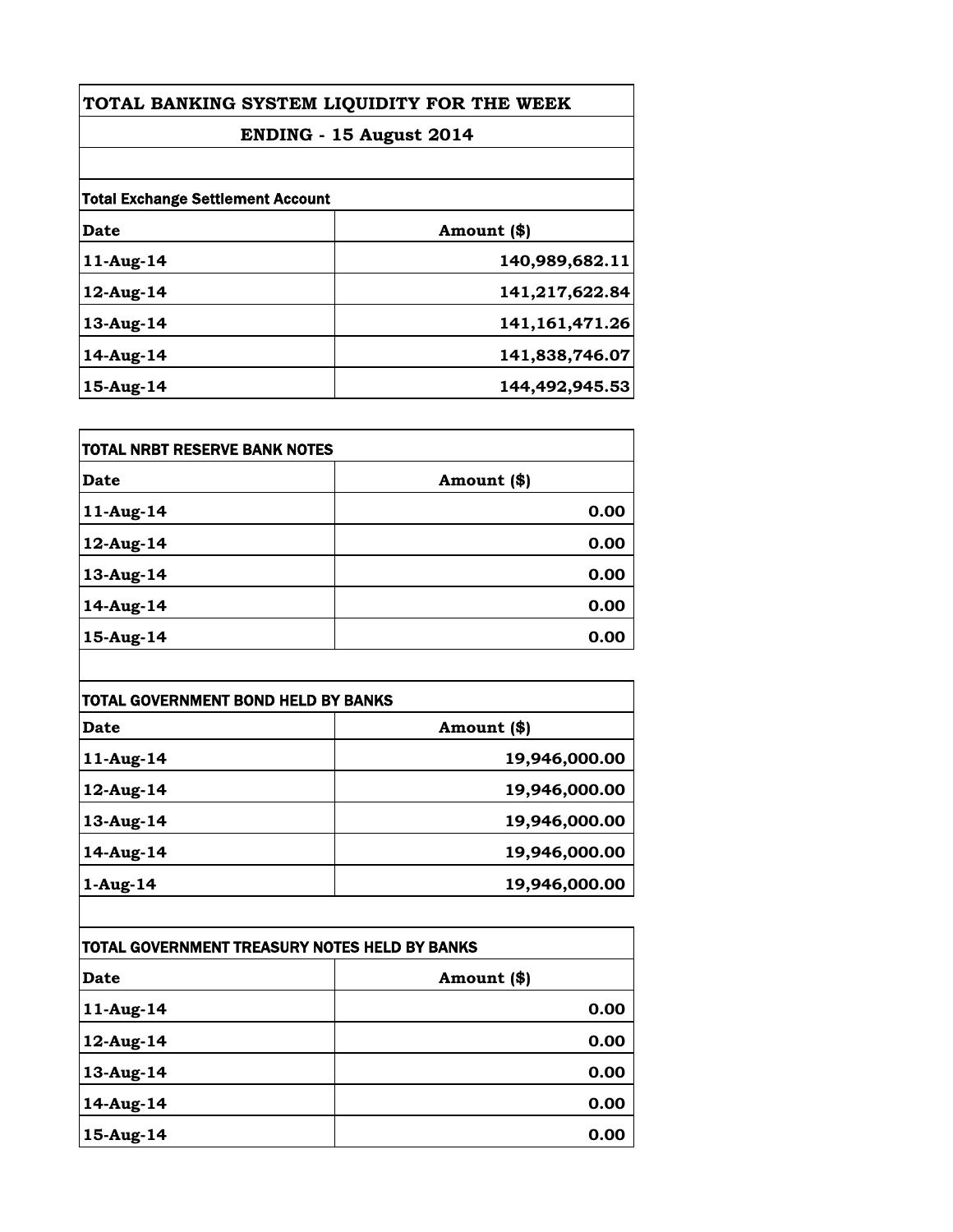| TOTAL BANKING SYSTEM LIQUIDITY FOR THE WEEK<br>ENDING - 15 August 2014 |                   |                                          |             |  |
|------------------------------------------------------------------------|-------------------|------------------------------------------|-------------|--|
|                                                                        |                   | <b>Total Exchange Settlement Account</b> |             |  |
|                                                                        |                   | Date                                     | Amount (\$) |  |
| 11-Aug-14                                                              | 140,989,682.11    |                                          |             |  |
| 12-Aug-14                                                              | 141,217,622.84    |                                          |             |  |
| 13-Aug-14                                                              | 141, 161, 471. 26 |                                          |             |  |
| 14-Aug-14                                                              | 141,838,746.07    |                                          |             |  |
| 15-Aug-14                                                              | 144,492,945.53    |                                          |             |  |

| TOTAL NRBT RESERVE BANK NOTES |             |
|-------------------------------|-------------|
| <b>Date</b>                   | Amount (\$) |
| 11-Aug-14                     | 0.00        |
| 12-Aug-14                     | 0.00        |
| 13-Aug-14                     | 0.00        |
| 14-Aug-14                     | 0.00        |
| 15-Aug-14                     | 0.00        |

| <b>TOTAL GOVERNMENT BOND HELD BY BANKS</b> |               |
|--------------------------------------------|---------------|
| Date                                       | Amount (\$)   |
| 11-Aug-14                                  | 19,946,000.00 |
| 12-Aug-14                                  | 19,946,000.00 |
| $13$ -Aug-14                               | 19,946,000.00 |
| 14-Aug-14                                  | 19,946,000.00 |
| $1-Aug-14$                                 | 19,946,000.00 |

| TOTAL GOVERNMENT TREASURY NOTES HELD BY BANKS |             |
|-----------------------------------------------|-------------|
| <b>Date</b>                                   | Amount (\$) |
| 11-Aug-14                                     | 0.00        |
| 12-Aug-14                                     | 0.00        |
| 13-Aug-14                                     | 0.00        |
| 14-Aug-14                                     | 0.00        |
| 15-Aug-14                                     | 0.00        |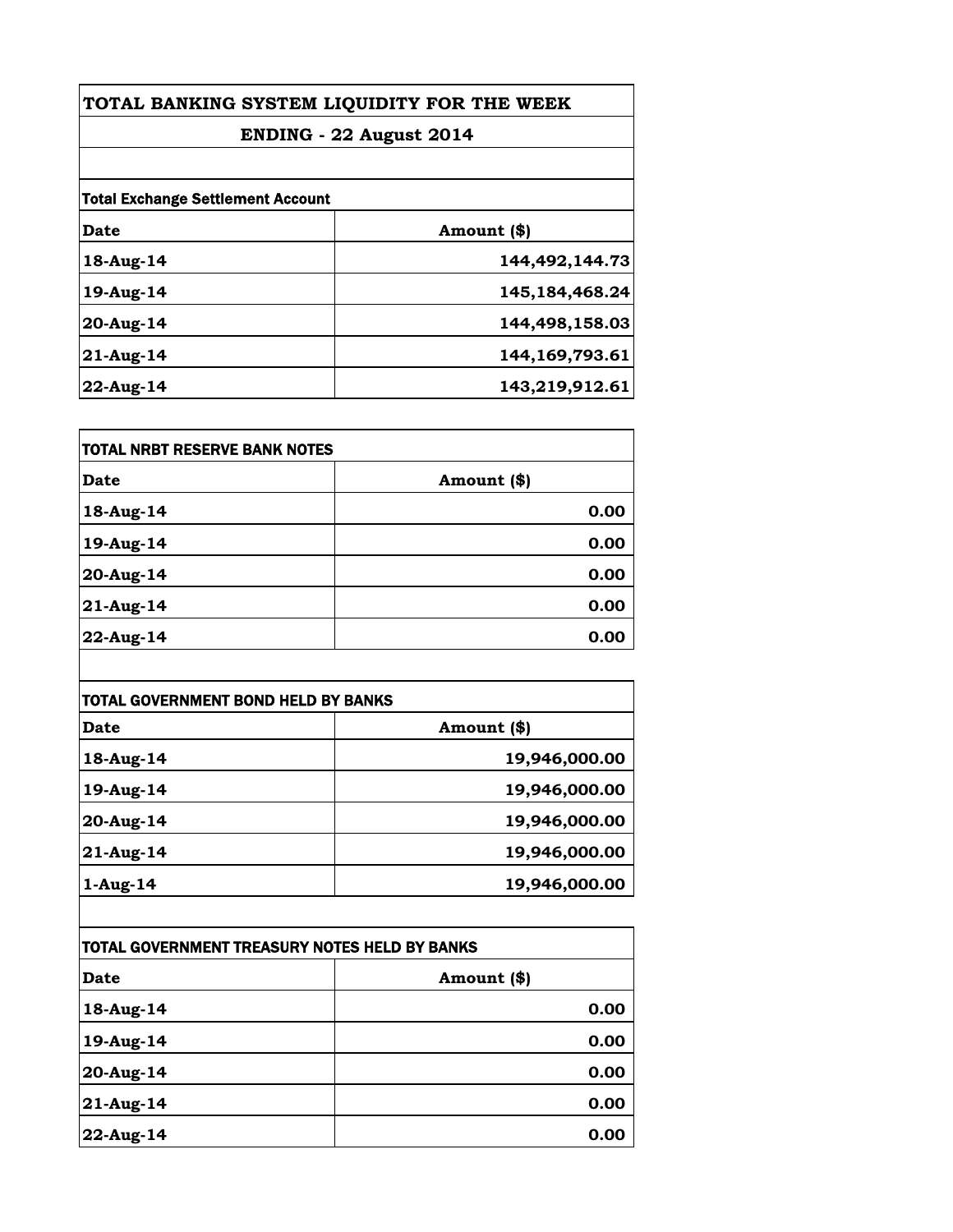| TOTAL BANKING SYSTEM LIQUIDITY FOR THE WEEK<br>ENDING - 22 August 2014 |                   |  |
|------------------------------------------------------------------------|-------------------|--|
|                                                                        |                   |  |
| <b>Total Exchange Settlement Account</b>                               |                   |  |
| Date                                                                   | Amount (\$)       |  |
| 18-Aug-14                                                              | 144,492,144.73    |  |
| 19-Aug-14                                                              | 145, 184, 468. 24 |  |
| $20$ -Aug-14                                                           | 144,498,158.03    |  |
| 21-Aug-14                                                              | 144, 169, 793. 61 |  |
| $22$ -Aug-14                                                           | 143,219,912.61    |  |

| <b>TOTAL NRBT RESERVE BANK NOTES</b> |             |
|--------------------------------------|-------------|
| Date                                 | Amount (\$) |
| 18-Aug-14                            | 0.00        |
| 19-Aug-14                            | 0.00        |
| 20-Aug-14                            | 0.00        |
| 21-Aug-14                            | 0.00        |
| 22-Aug-14                            | 0.00        |

| <b>TOTAL GOVERNMENT BOND HELD BY BANKS</b> |               |
|--------------------------------------------|---------------|
| Date                                       | Amount (\$)   |
| 18-Aug-14                                  | 19,946,000.00 |
| 19-Aug-14                                  | 19,946,000.00 |
| 20-Aug-14                                  | 19,946,000.00 |
| 21-Aug-14                                  | 19,946,000.00 |
| $1-Aug-14$                                 | 19,946,000.00 |

| TOTAL GOVERNMENT TREASURY NOTES HELD BY BANKS |             |
|-----------------------------------------------|-------------|
| <b>Date</b>                                   | Amount (\$) |
| 18-Aug-14                                     | 0.00        |
| 19-Aug-14                                     | 0.00        |
| 20-Aug-14                                     | 0.00        |
| 21-Aug-14                                     | 0.00        |
| 22-Aug-14                                     | 0.00        |